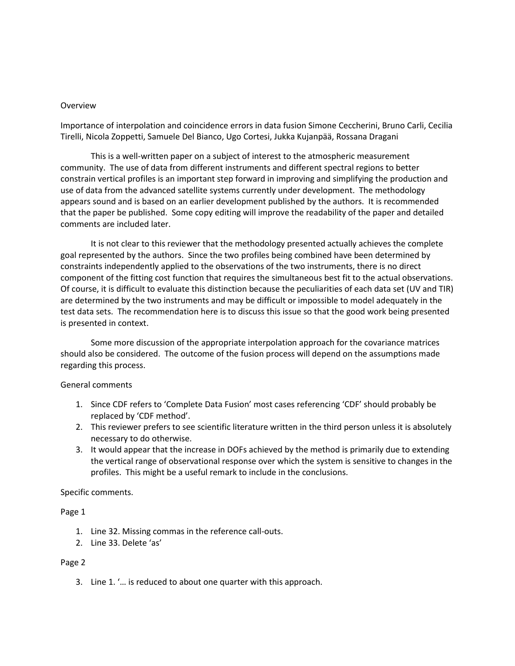### Overview

Importance of interpolation and coincidence errors in data fusion Simone Ceccherini, Bruno Carli, Cecilia Tirelli, Nicola Zoppetti, Samuele Del Bianco, Ugo Cortesi, Jukka Kujanpää, Rossana Dragani

This is a well-written paper on a subject of interest to the atmospheric measurement community. The use of data from different instruments and different spectral regions to better constrain vertical profiles is an important step forward in improving and simplifying the production and use of data from the advanced satellite systems currently under development. The methodology appears sound and is based on an earlier development published by the authors. It is recommended that the paper be published. Some copy editing will improve the readability of the paper and detailed comments are included later.

It is not clear to this reviewer that the methodology presented actually achieves the complete goal represented by the authors. Since the two profiles being combined have been determined by constraints independently applied to the observations of the two instruments, there is no direct component of the fitting cost function that requires the simultaneous best fit to the actual observations. Of course, it is difficult to evaluate this distinction because the peculiarities of each data set (UV and TIR) are determined by the two instruments and may be difficult or impossible to model adequately in the test data sets. The recommendation here is to discuss this issue so that the good work being presented is presented in context.

Some more discussion of the appropriate interpolation approach for the covariance matrices should also be considered. The outcome of the fusion process will depend on the assumptions made regarding this process.

## General comments

- 1. Since CDF refers to 'Complete Data Fusion' most cases referencing 'CDF' should probably be replaced by 'CDF method'.
- 2. This reviewer prefers to see scientific literature written in the third person unless it is absolutely necessary to do otherwise.
- 3. It would appear that the increase in DOFs achieved by the method is primarily due to extending the vertical range of observational response over which the system is sensitive to changes in the profiles. This might be a useful remark to include in the conclusions.

Specific comments.

## Page 1

- 1. Line 32. Missing commas in the reference call-outs.
- 2. Line 33. Delete 'as'

## Page 2

3. Line 1. '… is reduced to about one quarter with this approach.